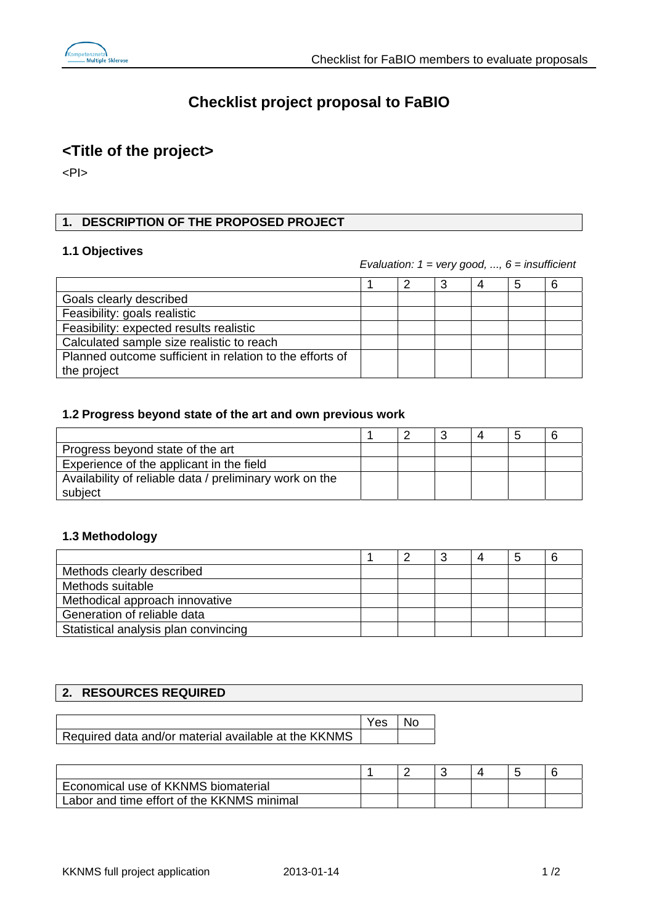

# **Checklist project proposal to FaBIO**

# **<Title of the project>**

 $<$ Pl $>$ 

## **1. DESCRIPTION OF THE PROPOSED PROJECT**

#### **1.1 Objectives**

*Evaluation: 1 = very good, ..., 6 = insufficient* 

|                                                          |  |  | - 6 |
|----------------------------------------------------------|--|--|-----|
| Goals clearly described                                  |  |  |     |
| Feasibility: goals realistic                             |  |  |     |
| Feasibility: expected results realistic                  |  |  |     |
| Calculated sample size realistic to reach                |  |  |     |
| Planned outcome sufficient in relation to the efforts of |  |  |     |
| the project                                              |  |  |     |

#### **1.2 Progress beyond state of the art and own previous work**

| Progress beyond state of the art                        |  |  |  |
|---------------------------------------------------------|--|--|--|
| Experience of the applicant in the field                |  |  |  |
| Availability of reliable data / preliminary work on the |  |  |  |
| subject                                                 |  |  |  |

#### **1.3 Methodology**

| Methods clearly described            |  |  |  |
|--------------------------------------|--|--|--|
| Methods suitable                     |  |  |  |
| Methodical approach innovative       |  |  |  |
| Generation of reliable data          |  |  |  |
| Statistical analysis plan convincing |  |  |  |

#### **2. RESOURCES REQUIRED**

|                                                      | Yes. | N∩ |
|------------------------------------------------------|------|----|
| Required data and/or material available at the KKNMS |      |    |

| Economical use of KKNMS biomaterial        |  |  |  |
|--------------------------------------------|--|--|--|
| Labor and time effort of the KKNMS minimal |  |  |  |